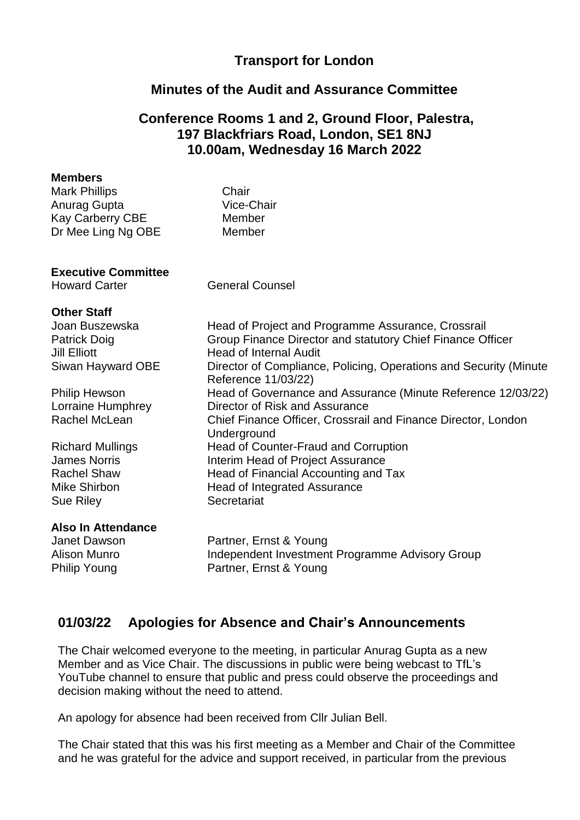### **Transport for London**

### **Minutes of the Audit and Assurance Committee**

### **Conference Rooms 1 and 2, Ground Floor, Palestra, 197 Blackfriars Road, London, SE1 8NJ 10.00am, Wednesday 16 March 2022**

#### **Members**

| <b>Mark Phillips</b>    | Chair      |  |
|-------------------------|------------|--|
| Anurag Gupta            | Vice-Chair |  |
| <b>Kay Carberry CBE</b> | Member     |  |
| Dr Mee Ling Ng OBE      | Member     |  |
|                         |            |  |
|                         |            |  |
|                         |            |  |

#### **Executive Committee**

Howard Carter **General Counsel** 

Reference 11/03/22)

**Underground** 

Director of Risk and Assurance

Head of Counter-Fraud and Corruption Interim Head of Project Assurance

#### **Other Staff**

Joan Buszewska Head of Project and Programme Assurance, Crossrail Patrick Doig Jill Elliott Siwan Hayward OBE Group Finance Director and statutory Chief Finance Officer Head of Internal Audit Director of Compliance, Policing, Operations and Security (Minute

Philip Hewson Lorraine Humphrey Rachel McLean

Richard Mullings James Norris Rachel Shaw **Head of Financial Accounting and Tax** Mike Shirbon **Head of Integrated Assurance** Sue Riley Secretariat

#### **Also In Attendance**

Janet Dawson Alison Munro Philip Young

Partner, Ernst & Young Independent Investment Programme Advisory Group Partner, Ernst & Young

Head of Governance and Assurance (Minute Reference 12/03/22)

Chief Finance Officer, Crossrail and Finance Director, London

# **01/03/22 Apologies for Absence and Chair's Announcements**

The Chair welcomed everyone to the meeting, in particular Anurag Gupta as a new Member and as Vice Chair. The discussions in public were being webcast to TfL's YouTube channel to ensure that public and press could observe the proceedings and decision making without the need to attend.

An apology for absence had been received from Cllr Julian Bell.

The Chair stated that this was his first meeting as a Member and Chair of the Committee and he was grateful for the advice and support received, in particular from the previous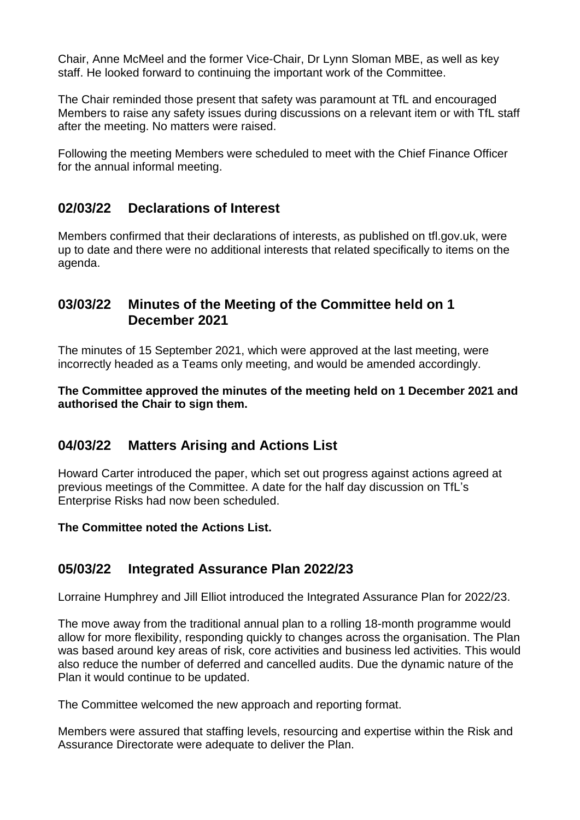Chair, Anne McMeel and the former Vice-Chair, Dr Lynn Sloman MBE, as well as key staff. He looked forward to continuing the important work of the Committee.

The Chair reminded those present that safety was paramount at TfL and encouraged Members to raise any safety issues during discussions on a relevant item or with TfL staff after the meeting. No matters were raised.

Following the meeting Members were scheduled to meet with the Chief Finance Officer for the annual informal meeting.

# **02/03/22 Declarations of Interest**

Members confirmed that their declarations of interests, as published on tfl.gov.uk, were up to date and there were no additional interests that related specifically to items on the agenda.

### **03/03/22 Minutes of the Meeting of the Committee held on 1 December 2021**

The minutes of 15 September 2021, which were approved at the last meeting, were incorrectly headed as a Teams only meeting, and would be amended accordingly.

**The Committee approved the minutes of the meeting held on 1 December 2021 and authorised the Chair to sign them.**

# **04/03/22 Matters Arising and Actions List**

Howard Carter introduced the paper, which set out progress against actions agreed at previous meetings of the Committee. A date for the half day discussion on TfL's Enterprise Risks had now been scheduled.

**The Committee noted the Actions List.**

# **05/03/22 Integrated Assurance Plan 2022/23**

Lorraine Humphrey and Jill Elliot introduced the Integrated Assurance Plan for 2022/23.

The move away from the traditional annual plan to a rolling 18-month programme would allow for more flexibility, responding quickly to changes across the organisation. The Plan was based around key areas of risk, core activities and business led activities. This would also reduce the number of deferred and cancelled audits. Due the dynamic nature of the Plan it would continue to be updated.

The Committee welcomed the new approach and reporting format.

Members were assured that staffing levels, resourcing and expertise within the Risk and Assurance Directorate were adequate to deliver the Plan.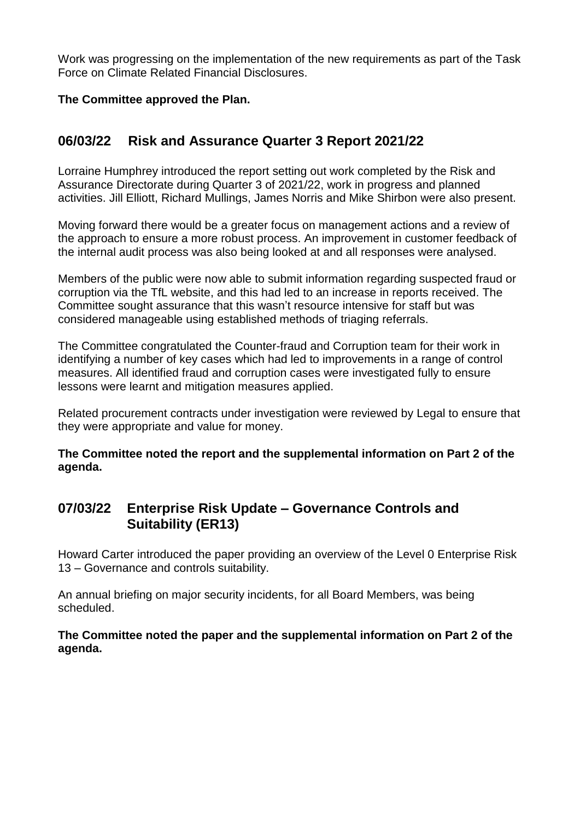Work was progressing on the implementation of the new requirements as part of the Task Force on Climate Related Financial Disclosures.

### **The Committee approved the Plan.**

# **06/03/22 Risk and Assurance Quarter 3 Report 2021/22**

Lorraine Humphrey introduced the report setting out work completed by the Risk and Assurance Directorate during Quarter 3 of 2021/22, work in progress and planned activities. Jill Elliott, Richard Mullings, James Norris and Mike Shirbon were also present.

Moving forward there would be a greater focus on management actions and a review of the approach to ensure a more robust process. An improvement in customer feedback of the internal audit process was also being looked at and all responses were analysed.

Members of the public were now able to submit information regarding suspected fraud or corruption via the TfL website, and this had led to an increase in reports received. The Committee sought assurance that this wasn't resource intensive for staff but was considered manageable using established methods of triaging referrals.

The Committee congratulated the Counter-fraud and Corruption team for their work in identifying a number of key cases which had led to improvements in a range of control measures. All identified fraud and corruption cases were investigated fully to ensure lessons were learnt and mitigation measures applied.

Related procurement contracts under investigation were reviewed by Legal to ensure that they were appropriate and value for money.

**The Committee noted the report and the supplemental information on Part 2 of the agenda.**

# **07/03/22 Enterprise Risk Update – Governance Controls and Suitability (ER13)**

Howard Carter introduced the paper providing an overview of the Level 0 Enterprise Risk 13 – Governance and controls suitability.

An annual briefing on major security incidents, for all Board Members, was being scheduled.

**The Committee noted the paper and the supplemental information on Part 2 of the agenda.**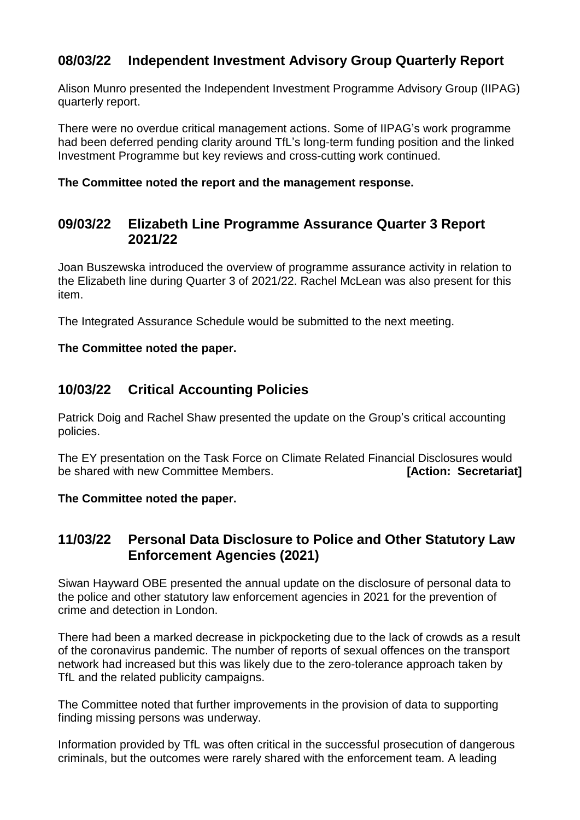# **08/03/22 Independent Investment Advisory Group Quarterly Report**

Alison Munro presented the Independent Investment Programme Advisory Group (IIPAG) quarterly report.

There were no overdue critical management actions. Some of IIPAG's work programme had been deferred pending clarity around TfL's long-term funding position and the linked Investment Programme but key reviews and cross-cutting work continued.

#### **The Committee noted the report and the management response.**

### **09/03/22 Elizabeth Line Programme Assurance Quarter 3 Report 2021/22**

Joan Buszewska introduced the overview of programme assurance activity in relation to the Elizabeth line during Quarter 3 of 2021/22. Rachel McLean was also present for this item.

The Integrated Assurance Schedule would be submitted to the next meeting.

#### **The Committee noted the paper.**

# **10/03/22 Critical Accounting Policies**

Patrick Doig and Rachel Shaw presented the update on the Group's critical accounting policies.

The EY presentation on the Task Force on Climate Related Financial Disclosures would be shared with new Committee Members. **[Action: Secretariat]** 

#### **The Committee noted the paper.**

### **11/03/22 Personal Data Disclosure to Police and Other Statutory Law Enforcement Agencies (2021)**

Siwan Hayward OBE presented the annual update on the disclosure of personal data to the police and other statutory law enforcement agencies in 2021 for the prevention of crime and detection in London.

There had been a marked decrease in pickpocketing due to the lack of crowds as a result of the coronavirus pandemic. The number of reports of sexual offences on the transport network had increased but this was likely due to the zero-tolerance approach taken by TfL and the related publicity campaigns.

The Committee noted that further improvements in the provision of data to supporting finding missing persons was underway.

Information provided by TfL was often critical in the successful prosecution of dangerous criminals, but the outcomes were rarely shared with the enforcement team. A leading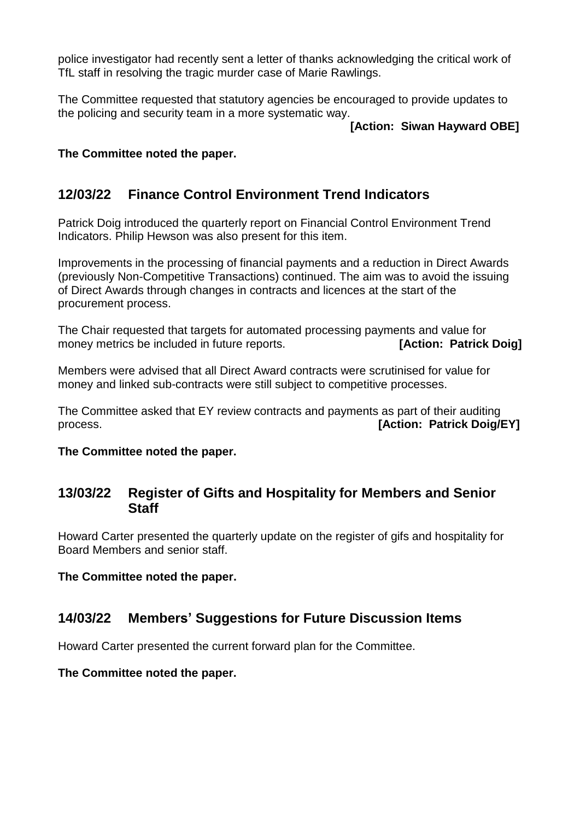police investigator had recently sent a letter of thanks acknowledging the critical work of TfL staff in resolving the tragic murder case of Marie Rawlings.

The Committee requested that statutory agencies be encouraged to provide updates to the policing and security team in a more systematic way.

#### **[Action: Siwan Hayward OBE]**

### **The Committee noted the paper.**

# **12/03/22 Finance Control Environment Trend Indicators**

Patrick Doig introduced the quarterly report on Financial Control Environment Trend Indicators. Philip Hewson was also present for this item.

Improvements in the processing of financial payments and a reduction in Direct Awards (previously Non-Competitive Transactions) continued. The aim was to avoid the issuing of Direct Awards through changes in contracts and licences at the start of the procurement process.

The Chair requested that targets for automated processing payments and value for money metrics be included in future reports. **[Action: Patrick Doig]** 

Members were advised that all Direct Award contracts were scrutinised for value for money and linked sub-contracts were still subject to competitive processes.

The Committee asked that EY review contracts and payments as part of their auditing process. **[Action: Patrick Doig/EY]**

**The Committee noted the paper.**

### **13/03/22 Register of Gifts and Hospitality for Members and Senior Staff**

Howard Carter presented the quarterly update on the register of gifs and hospitality for Board Members and senior staff.

#### **The Committee noted the paper.**

### **14/03/22 Members' Suggestions for Future Discussion Items**

Howard Carter presented the current forward plan for the Committee.

#### **The Committee noted the paper.**